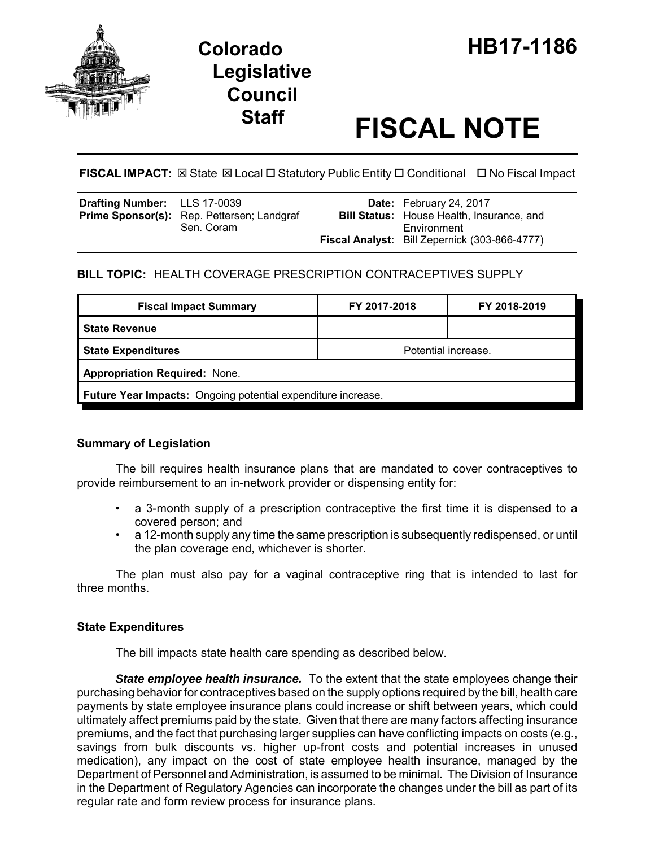

# **Legislative Council**

# **Staff FISCAL NOTE**

**FISCAL IMPACT:** ⊠ State ⊠ Local □ Statutory Public Entity □ Conditional □ No Fiscal Impact

| <b>Drafting Number:</b> LLS 17-0039 |                                                   | Date: February 24, 2017                          |
|-------------------------------------|---------------------------------------------------|--------------------------------------------------|
|                                     | <b>Prime Sponsor(s):</b> Rep. Pettersen; Landgraf | <b>Bill Status:</b> House Health, Insurance, and |
|                                     | Sen. Coram                                        | Environment                                      |
|                                     |                                                   | Fiscal Analyst: Bill Zepernick (303-866-4777)    |

## **BILL TOPIC:** HEALTH COVERAGE PRESCRIPTION CONTRACEPTIVES SUPPLY

| <b>Fiscal Impact Summary</b>                                        | FY 2017-2018        | FY 2018-2019 |  |  |  |
|---------------------------------------------------------------------|---------------------|--------------|--|--|--|
| <b>State Revenue</b>                                                |                     |              |  |  |  |
| <b>State Expenditures</b>                                           | Potential increase. |              |  |  |  |
| <b>Appropriation Required: None.</b>                                |                     |              |  |  |  |
| <b>Future Year Impacts:</b> Ongoing potential expenditure increase. |                     |              |  |  |  |

### **Summary of Legislation**

The bill requires health insurance plans that are mandated to cover contraceptives to provide reimbursement to an in-network provider or dispensing entity for:

- a 3-month supply of a prescription contraceptive the first time it is dispensed to a covered person; and
- a 12-month supply any time the same prescription is subsequently redispensed, or until the plan coverage end, whichever is shorter.

The plan must also pay for a vaginal contraceptive ring that is intended to last for three months.

### **State Expenditures**

The bill impacts state health care spending as described below.

**State employee health insurance.** To the extent that the state employees change their purchasing behavior for contraceptives based on the supply options required by the bill, health care payments by state employee insurance plans could increase or shift between years, which could ultimately affect premiums paid by the state. Given that there are many factors affecting insurance premiums, and the fact that purchasing larger supplies can have conflicting impacts on costs (e.g., savings from bulk discounts vs. higher up-front costs and potential increases in unused medication), any impact on the cost of state employee health insurance, managed by the Department of Personnel and Administration, is assumed to be minimal. The Division of Insurance in the Department of Regulatory Agencies can incorporate the changes under the bill as part of its regular rate and form review process for insurance plans.